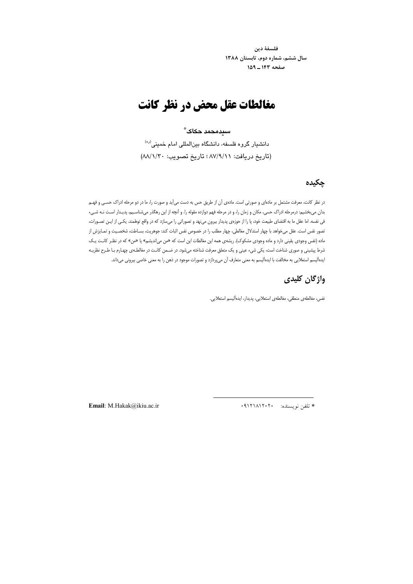فلسفهٔ دین سال ششم، شماره دوم، تابستان ۱۳۸۸ صفحه ١٤٣\_١٥٩

# مغالطات عقل محض در نظر کانت

#### سىدەحمد حكاك ً

دانشیار گروه فلسفه، دانشگاه بینالمللی امام خمینی<sup>(ده)</sup> (تاريخ دريافت: ٨٧/٩/١١ ؛ تاريخ تصويب: ٨٨/١/٣٠)

## چکیدہ

در نظر کانت، معرفت مشتمل بر مادهای و صورتی است. مادهی اَن از طریق حس به دست میآید و صورت را، ما در دو مرحله ادراک حسـی و فهـم بدان میبخشیم: درمرحله ادراک حسی، مکان و زمان را، و در مرحله فهم دوازده مقوله را. و آنچه از این رهگذر میشناسیم، پدیدار است نـه شـیء فی نفسه. اما عقل ما به اقتضای طبیعت خود، پا را از حوزهی پدیدار بیرون مینهد و تصوراتی را میسازد که در واقع توهّمند. یکـی از ایـن تصـورات، تصور نفس است. عقل میخواهد با چهار استدلال مغالطی، چهار مطلب را در خصوص نفس اثبات کند: جوهریت، بسـاطت، شخصـیت و تمـایزش از ماده (نفس وجودی یقینی دارد و ماده وجودی مشکوک). ریشهی همه این مغالطات این است که «من می|ندیشم» یا «من» که در نظـر کانـت یـک شرط پیشینی و صوری شناخت است، یکی شیء عینی و یک متعلق معرفت شناخته میشود. در ضـمن کانـت در مغالطـهی چهـارم بـا طـرح نظریـه ایدهآلیسم استعلایی به مخالفت با ایدهآلیسم به معنی متعارف آن میپردازد و تصورات موجود در ذهن را به معنی خاصی بیرونی میداند.

# واژگان کلیدی

نفس، مغالطهي منطقي، مغالطهي استعلايي، پديدار، ايدهأليسم استعلايي.

Email: M.Hakak@ikiu.ac.ir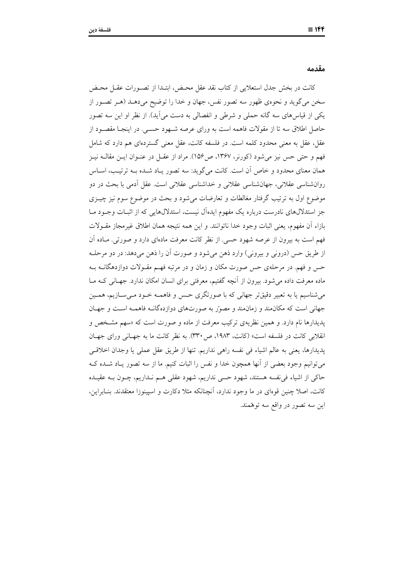مقدمه

كانت در بخش جدل استعلايي از كتاب نقد عقل محـض، ابتـدا از تصـورات عقـل محـض سخن میگوید و نحوهی ظهور سه تصور نفس، جهان و خدا را توضیح میدهـد (هـر تصـور از یکی از قیاس های سه گانه حملی و شرطی و انفصالی به دست می آید). از نظر او این سه تصور حاصل اطلاق سه تا از مقولات فاهمه است به وراى عرصه شـهود حســي. در اينجـا مقصــود از عقل، عقل به معنی محدود کلمه است. در فلسفه کانت، عقل معنی گستردهای هم دارد که شامل فهم و حتى حس نيز مى شود (كورنر، ١٣۶٧، ص١۵۶). مراد از عقـل در عنـوان ايــن مقالــه نيــز همان معنای محدود و خاص آن است. کانت می گوید: سه تصور یـاد شـده بــه ترتیـب، اسـاس روانشناسی عقلانی، جهانشناسی عقلانی و خداشناسی عقلانی است. عقل اَدمی با بحث در دو موضوع اول به ترتیب گرفتار مغالطات و تعارضات میشود و بحث در موضوع سوم نیز چیــزی جز استدلالهای نادرست درباره یک مفهوم ایدهآل نیست، استدلالهایی که از اثبـات وجـود مـا بازاء أن مفهوم، يعني اثبات وجود خدا ناتوانند. و اين همه نتيجه همان اطلاق غيرمجاز مقـولات فهم است به بیرون از عرصه شهود حسی. از نظر کانت معرفت مادهای دارد و صورتی. مـاده آن از طريق حس (دروني و بيروني) وارد ذهن مي شود و صورت آن را ذهن مي دهد: در دو مرحلـه حس و فهم. در مرحلهی حس صورت مکان و زمان و در مرتبه فهـم مقــولات دوازدهگانــه بــه ماده معرفت داده می شود. بیرون از اَنچه گفتیم، معرفتی برای انسان امکان ندارد. جهـانی کـه مــا میشناسیم یا به تعبیر دقیقتر جهانی که با صورتگری حس و فاهمـه خـود مـیسـازیم، همـین جهانی است که مکان مند و زمان مند و مصور به صورتهای دوازده گانــه فاهمــه اسـت و جهـان پدیدارها نام دارد. و همین نظریهی ترکیب معرفت از ماده و صورت است که «سهم مشخص و انقلابی کانت در فلسفه است» (کانت، ۱۹۸۳، ص۳۳۰). به نظر کانت ما به جهـانی ورای جهـان پدیدارها، یعنی به عالم اشیاء فی نفسه راهی نداریم. تنها از طریق عقل عملی یا وجدان اخلاقی می توانیم وجود بعضی از آنها همچون خدا و نفس را اثبات کنیم. ما از سه تصور پـاد شـده کـه حاکی از اشیاء فی نفسه هستند، شهود حسی نداریم، شهود عقلی هـم نـداریم، چـون بـه عقیـده کانت، اصلا چنین قوهای در ما وجود ندارد، آنچنانکه مثلا دکارت و اسپینوزا معتقدند. بنـابراین، اين سه تصور در واقع سه توهّمند.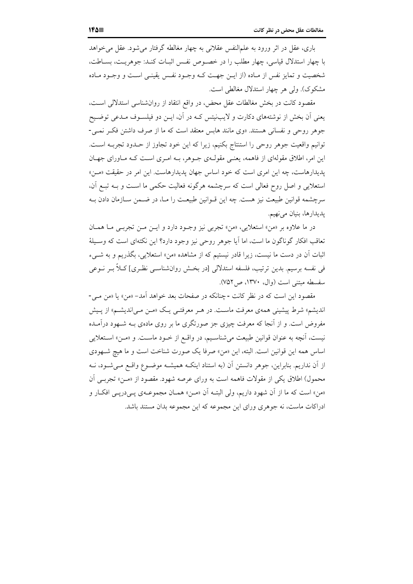باری، عقل در اثر ورود به علمالنفس عقلانی به چهار مغالطه گرفتار می شود. عقل می خواهد با چهار استدلال قیاسی، چهار مطلب را در خصوص نفس اثبـات کنـد: جوهریـت، بسـاطت، شخصیت و تمایز نفس از مـاده (از ایــن جهــت کــه وجــود نفــس یقینــی اســت و وجــود مــاده مشکوک). ولی هر چهار استدلال مغالطی است.

مقصود کانت در بخش مغالطات عقل محض، در واقع انتقاد از روان شناسی استدلالی است، یعنی اّن بخش از نوشتههای دکارت و لایبنیتس کـه در اّن، ایــن دو فیلســوف مــدعی توضــیح جوهر روحی و نفسانی هستند. «وی مانند هابس معتقد است که ما از صرف داشتن فک رنمبی-توانيم واقعيت جوهر روحي را استنتاج بكنيم، زيرا كه اين خود تجاوز از حـدود تجربــه اسـت. این امر، اطلاق مقولهای از فاهمه، یعنبی مقول)ی جـوهر، بـه امـری اسـت کـه مـاورای جهـان یدیدارهاست، چه این امری است که خود اساس جهان یدیدارهاست. این امر در حقیقت «مـن» استعلایی و اصل روح فعالی است که سرچشمه هرگونه فعالیت حکمی ما است و بـه تبـع آن، سرچشمه قوانین طبیعت نیز هست. چه این قـوانین طبیعـت را مـا، در ضـمن سـازمان دادن بـه يديدارها، بنيان مي نهيم.

در ما علاوه بر «من» استعلايي، «من» تجربي نيز وجـود دارد و ايـن مـن تجربـي مـا همـان تعاقب افکار گوناگون ما است، اما آیا جوهر روحی نیز وجود دارد؟ این نکتهای است که وسیلهٔ اثبات آن در دست ما نیست، زیرا قادر نیستیم که از مشاهده «من» استعلایی، بگذریم و به شبیء في نفسه برسيم. بدين ترتيب، فلسفه استدلالي [در بخــش روانشناســي نظـري] كــلاً بــر نــوعي سفسطه مبتني است (وال، ١٣٧٠، ص٧٥٢).

مقصود این است که در نظر کانت -چنانکه در صفحات بعد خواهد آمد- «من» یا «من مبی-اندیشم» شرط پیشینی همهی معرفت ماست. در هـر معرفتـی یـک «مـن مـی|ندیشـم» از پـیش مفروض است. و از آنجا که معرفت چیزی جز صورتگری ما بر روی مادهی بـه شـهود درآمـده نیست، آنچه به عنوان قوانین طبیعت میشناسـیم، در واقـع از خـود ماسـت. و «مـن» اسـتعلایی اساس همه این قوانین است. البته، این «من» صرفا یک صورت شناخت است و ما هیچ شهودی از اّن نداریم. بنابراین، جوهر دانستن اّن (به استناد اینکـه همیشـه موضـوع واقـع مـی«شـود، نــه محمول) اطلاق یکی از مقولات فاهمه است به ورای عرصه شهود. مقصود از «مـن» تجربـی اَن «من» است كه ما از آن شهود داريم، ولي البتـه آن «مـن» همـان مجموعـهي پـيدرپـي افكـار و ادراکات ماست، نه جوهری ورای این مجموعه که این مجموعه بدان مستند باشد.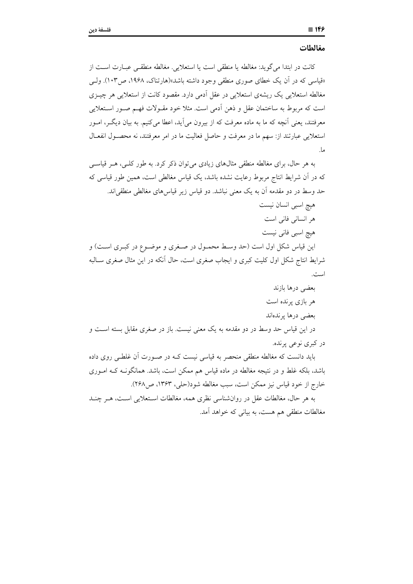كانت در ابتدا مي گويد: مغالطه يا منطقى است يا استعلايي. مغالطه منطقـي عبــارت اســت از «قیاسی که در آن یک خطای صوری منطقی وجود داشته باشد»(هارتناک، ۱۹۶۸، ص۱۰۳). ولسی مغالطه استعلایی یک ریشهی استعلایی در عقل اَدمی دارد. مقصود کانت از استعلایی هر چیــزی است که مربوط به ساختمان عقل و ذهن آدمی است. مثلا خود مقـولات فهـم صـور اسـتعلایی معرفتند، یعنی اّنچه که ما به ماده معرفت که از بیرون میآید، اعطا میکنیم. به بیان دیگـر، امـور استعلایی عبارتند از: سهم ما در معرفت و حاصل فعالیت ما در امر معرفتند، نه محصـول انفعـال ما.

به هر حال، برای مغالطه منطقی مثالهای زیادی می توان ذکر کرد. به طور کلبی، هـر قیاســی که در آن شرایط انتاج مربوط رعایت نشده باشد، یک قیاس مغالطی است، همین طور قیاسی که حد وسط در دو مقدمه أن به یک معنی نباشد. دو قیاس زیر قیاسهای مغالطی منطقی|ند.

هیچ اسبی انسان نیست هر انسانی فانی است هيچ اسبي فاني نيست این قیاس شکل اول است (حد وسط محمـول در صـغری و موضـوع در کبـری اسـت) و شرایط انتاج شکل اول کلیت کبری و ایجاب صغری است، حال انکه در این مثال صغری ســالبه

بعضی درها بازند هر بازی پرنده است بعضى درها يرندهاند در این قیاس حد وسط در دو مقدمه به یک معنی نیست. باز در صغری مقابل بسته اســت و در کبری نوعی پرنده.

باید دانست که مغالطه منطقی منحصر به قیاسی نیست کـه در صـورت آن غلطـی روی داده باشد، بلکه غلط و در نتیجه مغالطه در ماده قیاس هم ممکن است، باشد. همانگونـه کـه امـوری خارج از خود قياس نيز ممكن است، سبب مغالطه شود(حلي، ١٣۶٣، ص٢۶٨).

به هر حال، مغالطات عقل در روانشناسی نظری همه، مغالطات استعلایی است، هـر چنـد مغالطات منطقی هم هست، به بیانی که خواهد آمد.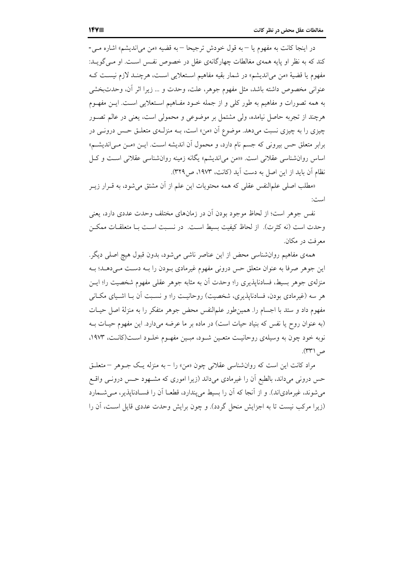در اينجا كانت به مفهوم يا – به قول خودش ترجيحا – به قضيه «من مي انديشم» اشاره مبي-کند که به نظر او پایه همهی مغالطات چهارگانهی عقل در خصوص نفس است. او مبی گویــد: مفهوم یا قضیهٔ «من می|ندیشم» در شمار بقیه مفاهیم اسـتعلایی اسـت، هرچنـد لازم نیسـت کـه عنواني مخصوص داشته باشد، مثل مفهوم جوهر، علت، وحدت و … زيرا اثر آن، وحدتبخشي به همه تصورات و مفاهیم به طور کلی و از جمله خــود مفــاهیم اســتعلایی اســت. ایــن مفهــوم هرچند از تجربه حاصل نیامده، ولی مشتمل بر موضوعی و محمولی است، یعنی در عالم تصـور چیزی را به چیزی نسبت میدهد. موضوع اَن «من» است، بــه منزلــهی متعلــق حــس درونــی در برابر متعلق حس بیرونی که جسم نام دارد، و محمول آن اندیشه است. ایـن «مـن مـی|ندیشـم» اساس روان شناسی عقلانی است. «من می اندیشم» یگانه زمینه روان شناسی عقلانی است و کل نظام آن باید از این اصل به دست آید (کانت، ۱۹۷۳، ص۳۲۹).

«مطلب اصلی علمالنفس عقلی که همه محتویات این علم از آن مشتق می شود، به قـرار زیـر است:

نفس جوهر است؛ از لحاظ موجود بودن آن در زمانهای مختلف وحدت عددی دارد، یعنی وحدت است (نه كثرت). از لحاظ كيفيت بسيط اسـت. در نسـبت اسـت بــا متعلقــات ممكــن معرفت در مکان.

همه ی مفاهیم روانشناسی محض از این عناصر ناشی می شود، بدون قبول هیچ اصلی دیگر. این جوهر صرفا به عنوان متعلق حس درونی مفهوم غیرمادی بـودن را بـه دسـت مـیدهـد؛ بـه منزلهی جوهر بسیط، فسادناپذیری را؛ وحدت آن به مثابه جوهر عقلی مفهوم شخصیت را؛ ایــن هر سه (غیرمادی بودن، فسادنایذیری، شخصیت) روحانیـت را؛ و نسـبت آن بـا اشـیای مکـانی مفهوم داد و ستد با اجسام را. همین طور علمالنفس محض جوهر متفکر را به منزلهٔ اصل حیـات (به عنوان روح یا نفس که بنیاد حیات است) در ماده بر ما عرضه میدارد. این مفهوم حیـات بـه نوبه خود چون به وسیلهی روحانیت متعـین شـود، مبـین مفهـوم خلـود اسـت(کانـت، ۱۹۷۳، ص (۳۳۱).

مراد کانت این است که روان شناسی عقلانی چون «من» را - به منزله یـک جـوهر – متعلـق حس درونی میداند، بالطبع آن را غیرمادی میداند (زیرا اموری که مشـهود حـس درونــی واقــع می شوند، غیرمادیاند). و از آنجا که آن را بسیط می پندارد، قطعـا آن را فسـادناپذیر، مـی شـمارد (زیرا مرکب نیست تا به اجزایش منحل گردد). و چون برایش وحدت عددی قایل است، آن را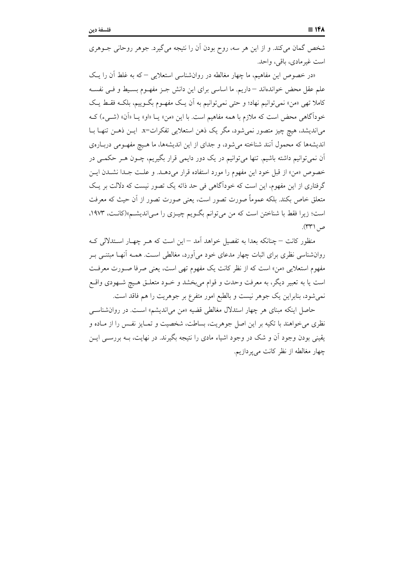شخص گمان میکند. و از این هر سه، روح بودن آن را نتیجه میگیرد. جوهر روحانی جـوهری است غیر مادی، باقی، واحد.

«در خصوص این مفاهیم، ما چهار مغالطه در روان شناسی استعلایی – که به غلط آن را یک علم عقل محض خواندهاند – داریم. ما اساسی برای این دانش جـز مفهـوم بسـیط و فـی نفسـه کاملا تھی «من» نمی توانیم نھاد؛ و حتی نمی توانیم به اَن یک مفھـوم بگـوییم، بلکـه فقـط یـک خوداًگاهی محض است که ملازم با همه مفاهیم است. با این «من» یـا «او» یــا «آن» (شــیء) کــه می|ندیشد، هیچ چیز متصور نمیشود، مگر یک ذهن استعلایی تفکرات=x. ایــن ذهــن تنهــا بــا اندیشهها که محمول آنند شناخته می شود، و جدای از این اندیشهها، ما هیچ مفهومی دربارهی آن نمیتوانیم داشته باشیم. تنها میتوانیم در یک دور دایمی قرار بگیریم، چــون هــر حکمــی در خصوص «من» از قبل خود این مفهوم را مورد استفاده قرار میدهــد. و علــت جــدا نشــدن ایــن گرفتاری از این مفهوم، این است که خودآگاهی فی حد ذاته یک تصور نیست که دلالت بر یک متعلق خاص بکند. بلکه عموماً صورت تصور است، یعنی صورت تصور از آن حیث که معرفت است؛ زیرا فقط با شناختن است که من می توانم بگـویم چیـزی را مـی|ندیشـم»(کانـت، ۱۹۷۳، ص (۳۳۱).

منظور کانت – چنانکه بعدا به تفصیل خواهد آمد – این است که هـر چهـار اسـتدلالی کـه روانشناسی نظری برای اثبات چهار مدعای خود می|َورد، مغالطی اسـت. همـه اَنهـا مبتنــی بـر مفهوم استعلایی «من» است که از نظر کانت یک مفهوم تهی است، یعنی صرفا صورت معرفت است یا به تعبیر دیگر، به معرفت وحدت و قوام می بخشد و خـود متعلـق هـیچ شـهودی واقـع نمی شود، بنابراین یک جوهر نیست و بالطبع امور متفرع بر جوهریت را هم فاقد است.

حاصل اینکه مبنای هر چهار استدلال مغالطی قضیه «من می اندیشم» است. در روان شناسبی نظري مي خواهند با تكيه بر اين اصل جوهريت، بساطت، شخصيت و تمـايز نفـس را از مـاده و یقینی بودن وجود اَن و شک در وجود اشیاء مادی را نتیجه بگیرند. در نهایت، بــه بررســی ایــن چهار مغالطه از نظر کانت میپردازیم.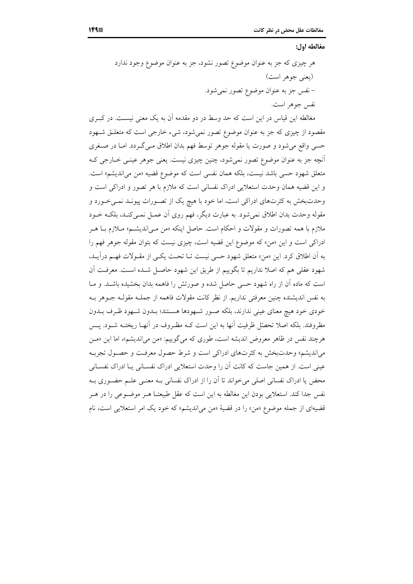#### مغالطه اول:

مغالطه این قیاس در این است که حد وسط در دو مقدمه اَن به یک معنی نیسـت. در کبـری مقصود از چیزی که جز به عنوان موضوع تصور نمیشود، شیء خارجی است که متعلـق شـهود حسی واقع میشود و صورت یا مقوله جوهر توسط فهم بدان اطلاق مـیگـردد. امـا در صـغری آنچه جز به عنوان موضوع تصور نمی شود، چنین چیزی نیست. یعنی جوهر عینـی خـارجی کـه متعلق شهود حس<sub>می</sub> باشد نیست، بلکه همان نفس<sub>می</sub> است که موضوع قضیه «من می|ندیشم» است. و این قضیه همان وحدت استعلایی ادراک نفسانی است که ملازم با هر تصور و ادراکی است و وحدتبخش به کثرتهای ادراکی است، اما خود با هیچ یک از تصـورات پیونـد نمـیخـورد و مقوله وحدت بدان اطلاق نمیشود. به عبارت دیگر، فهم روی آن عمــل نمــیکنــد، بلکــه خــود ملازم با همه تصورات و مقولات و احکام است. حاصل اینکه «من مـی|ندیشـم» مـلازم بـا هــر ادراکی است و این «من» که موضوع این قضیه است، چیزی نیست که بتوان مقوله جوهر فهم را به أن اطلاق كرد. اين «من» متعلق شهود حسى نيست تــا تحـت يكــى از مقــولات فهــم درآيــد، شهود عقلي هم كه اصلا نداريم تا بگوييم از طريق اين شهود حاصل شـده اسـت. معرفـت آن است که ماده آن از راه شهود حسی حاصل شده و صورتش را فاهمه بدان بخشیده باشـد. و مـا به نفس اندیشنده چنین معرفتی نداریم. از نظر کانت مقولات فاهمه از جملـه مقولـه جــوهر بــه خودی خود هیچ معنای عینی ندارند، بلکه صـور شـهودها هسـتند؛ بـدون شـهود ظـرف بـدون مظروفند. بلکه اصلا تحصّل ظرفیت آنها به این است کـه مظـروف در آنهـا ریختـه شــود. پــس هرچند نفس در ظاهر معروض اندیشه است، طوری که میگوییم: «من میاندیشم»، اما این «مـن می اندیشم» وحدتبخش به کثرتهای ادراکی است و شرط حصول معرفت و حصـول تجربـه عینی است. از همین جاست که کانت آن را وحدت استعلایی ادراک نفسـانی یـا ادراک نفسـانی محض یا ادراک نفسانی اصلی میخواند تا آن را از ادراک نفسانی بـه معنـی علــم حضـوری بـه نفس جدا كند. استعلايي بودن اين مغالطه به اين است كه عقل طبيعتــا هــر موضــوعي را در هــر قضیهای از جمله موضوع «من» را در قضیهٔ «من می|ندیشم» که خود یک امر استعلایی است، نام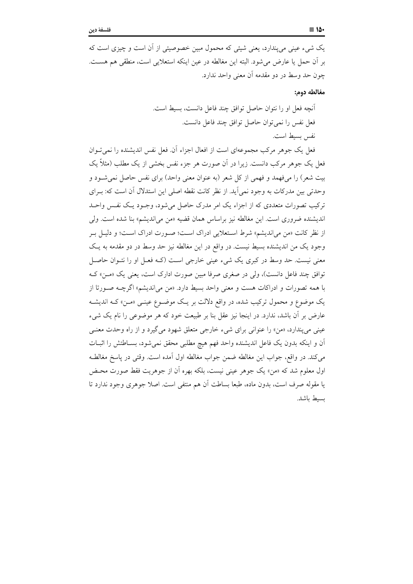یک شیء عینی می پندارد، یعنی شیئی که محمول مبین خصوصیتی از آن است و چیزی است که بر أن حمل يا عارض مي شود. البته اين مغالطه در عين اينكه استعلايي است، منطقى هم هسـت. چون حد وسط در دو مقدمه آن معنی واحد ندارد.

مغالطه دوم:

فعل یک جوهر مرکب مجموعهای است از افعال اجزاء آن. فعل نفس اندیشنده را نمی تـوان فعل یک جوهر مرکب دانست. زیرا در آن صورت هر جزء نفس بخشی از یک مطلب (مثلاً یک بیت شعر) را میفهمد و فهمی از کل شعر (به عنوان معنی واحد) برای نفس حاصل نمی شـود و وحدتی بین مدرکات به وجود نمی آید. از نظر کانت نقطه اصلی این استدلال آن است که: بـرای ترکیب تصورات متعددی که از اجزاء یک امر مدرک حاصل می شود، وجـود یـک نفـس واحـد اندیشنده ضروری است. این مغالطه نیز براساس همان قضیه «من می|ندیشم» بنا شده است. ولی از نظر كانت «من مي انديشم» شرط استعلايي ادراك است؛ صـورت ادراك اسـت؛ و دليـل بـر وجود یک من اندیشنده بسیط نیست. در واقع در این مغالطه نیز حد وسط در دو مقدمه به یک معنی نیست. حد وسط در کبری یک شیء عینی خارجی است (کـه فعـل او را نتـوان حاصـل توافق چند فاعل دانست)، ولي در صغري صرفا مبين صورت ادارك است، يعني يك «مـن» كـه با همه تصورات و ادراكات هست و معنى واحد بسيط دارد. «من مى انديشم» اگرچـه صـورتا از یک موضوع و محمول ترکیب شده، در واقع دلالت بر یک موضـوع عینـی «مـن» کــه اندیشــه عارض بر آن باشد، ندارد. در اینجا نیز عقل بنا بر طبیعت خود که هر موضوعی را نام یک شیء عینی می پندارد، «من» را عنوانی برای شیء خارجی متعلق شهود می گیرد و از راه وحدت معنـّـی أن و اينكه بدون يك فاعل انديشنده واحد فهم هيچ مطلبي محقق نمي شود، بسـاطتش را اثبــات مي كند. در واقع، جواب اين مغالطه ضمن جواب مغالطه اول آمده است. وقتي در ياسخ مغالطـه اول معلوم شد که «من» یک جوهر عینی نیست، بلکه بهره اّن از جوهریت فقط صورت محـض یا مقوله صرف است، بدون ماده، طبعا بساطت آن هم منتفی است. اصلا جوهری وجود ندارد تا بسبط باشد.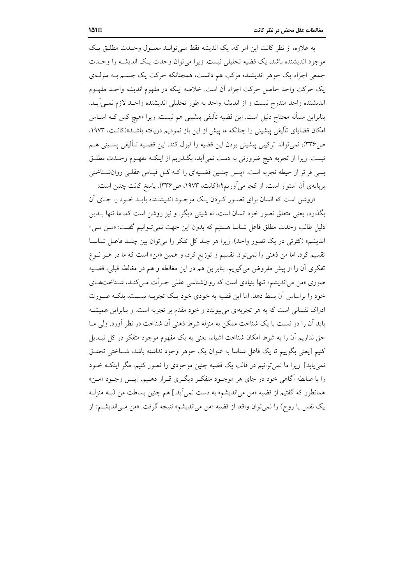به علاوه، از نظر كانت اين امر كه، يك انديشه فقط مبي توانيد معليول وحيدت مطليق يك موجود اندیشنده باشد، یک قضیه تحلیلی نیست. زیرا می توان وحدت یک اندیشـه را وحـدت جمعی اجزاء یک جوهر اندیشنده مرکب هم دانست، همچنانکه حرکت یک جسـم بــه منزلــهی يک حرکت واحد حاصل حرکت اجزاء آن است. خلاصه اينکه در مفهوم انديشه واحـد مفهـوم اندیشنده واحد مندرج نیست و از اندیشه واحد به طور تحلیلی اندیشنده واحـد لازم نمـی]یـد. بنابراین مسأله محتاج دلیل است. این قضیه تألیفی پیشینی هم نیست. زیرا «هیچ کس کـه اســاس امکان قضایای تألیفی پیشینی را چنانکه ما پیش از این باز نمودیم دریافته باشــد»(کانــت، ۱۹۷۳. ص٣٣۶)، نمي تواند تركيبي پيشيني بودن اين قضيه را قبول كند. اين قضـيه تـأليفي پسـيني هــم نیست. زیرا از تجربه هیچ ضرورتی به دست نمیآید، بگـذریم از اینکـه مفهـوم وحـدت مطلـق بسی فراتر از حیطه تجربه است. «پس چنین قضیهای را کـه کـل قیـاس عقلـی روانشـناختی برپایهی آن استوار است، از کجا می آوریم؟»(کانت، ۱۹۷۳، ص۳۳۶). پاسخ کانت چنین است:

«روشن است كه انسان براي تصور كردن يك موجـود انديشـنده بايـد خـود را جـاي آن بگذارد، یعنی متعلق تصور خود انسان است، نه شیئی دیگر. و نیز روشن است که، ما تنها بـدین دلیل طالب وحدت مطلق فاعل شناسا هستیم که بدون این جهت نمی تـوانیم گفـت: «مـن مـی-اندیشم» (کثرتی در یک تصور واحد). زیرا هر چند کل تفکر را می توان بین چنـد فاعـل شناسـا تقسیم کرد، اما من ذهنی را نمی توان تقسیم و توزیع کرد، و همین «من» است که ما در هـر نــوع تفکری آن را از پیش مفروض میگیریم. بنابراین هم در این مغالطه و هم در مغالطه قبلی، قضـیه صوری «من می|ندیشم» تنها بنیادی است که روانشناسی عقلی جـرأت مـیکنـد، شـناختهـای خود را براساس آن بسط دهد. اما این قضیه به خودی خود یـک تجربـه نیسـت، بلکـه صـورت ادراک نفسانی است که به هر تجربهای می پیوندد و خود مقدم بر تجربه است. و بنابراین همیشـه باید آن را در نسبت با یک شناخت ممکن به منزله شرط ذهنی آن شناخت در نظر آورد. ولی مــا حق نداریم آن را به شرط امکان شناخت اشیاء، یعنی به یک مفهوم موجود متفکر در کل تبـدیل كنيم [يعني بگوييم تا يک فاعل شناسا به عنوان يک جوهر وجود نداشته باشد، شـناختى تحقـق نمی یابد]. زیرا ما نمی توانیم در قالب یک قضیه چنین موجودی را تصور کنیم، مگر اینکـه خـود را با ضابطه آگاهی خود در جای هر موجـود متفکـر دیگـری قـرار دهـیم. [پـس وجـود «مـن» همانطور که گفتیم از قضیه «من می|ندیشم» به دست نمی]ید.] هم چنین بساطت من (بـه منزلـه یک نفس یا روح) را نمی توان واقعا از قضیه «من می|ندیشم» نتیجه گرفت. «من مـی|ندیشـم» از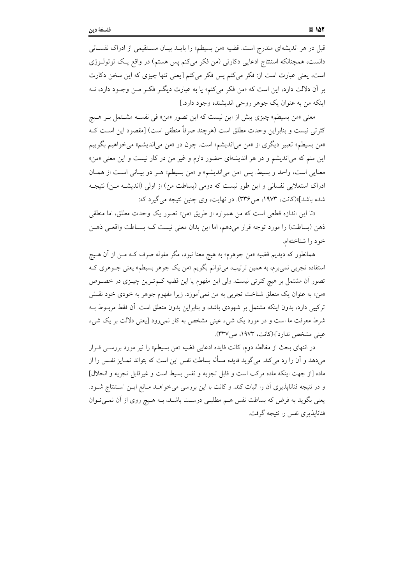قبل در هر اندیشهای مندرج است. قضیه «من بسیطم» را بایــد بیــان مســتقیمی از ادراک نفســانـی دانست، همچنانکه استنتاج ادعایی دکارتی (من فکر میکنم پس هستم) در واقع یک توتولـوژی است، يعني عبارت است از: فكر مي كنم يس فكر مي كنم [يعني تنها چيزي كه اين سخن دكارت بر اّن دلالت دارد، این است که «من فکر می کنم» یا به عبارت دیگـر فکـر مـن وجـود دارد، نــه اينكه من به عنوان يك جوهر روحي انديشنده وجود دارد.]

معنى «من بسيطم» چيزي بيش از اين نيست كه اين تصور «من» في نفســه مشــتمل بـر هــيچ كثرتي نيست و بنابراين وحدت مطلق است (هرچند صرفاً منطقی است) [مقصود اين اسـت كـه «من بسیطم» تعبیر دیگری از «من می|ندیشم» است. چون در «من می|ندیشم» میخواهیم بگوییم این منم که میاندیشم و در هر اندیشهای حضور دارم و غیر من در کار نیست و این معنی «من» معنایی است، واحد و بسیط. پس «من می اندیشم» و «من بسیطم» هـر دو بیـانی اسـت از همـان ادراک استعلایی نفسانی و این طور نیست که دومی (بساطت من) از اولی (اندیشـه مـن) نتیجـه شده باشد]»(کانت، ۱۹۷۳، ص۳۳۶). در نهایت، وی چنین نتیجه می گیرد که:

«تا اين اندازه قطعي است كه من همواره از طريق «من» تصور يك وحدت مطلق، اما منطقي ذهن (بساطت) را مورد توجه قرار می۵دهم، اما این بدان معنی نیست کــه بســاطت واقعــی ذهــن خود را شناختهام.

همانطور که دیدیم قضیه «من جوهرم» به هیچ معنا نبود، مگر مقوله صرف کـه مـن از آن هــیچ استفاده تجربی نمی برم، به همین ترتیب، میتوانم بگویم «من یک جوهر بسیطم» یعنی جــوهری کــه تصور أن مشتمل بر هيچ كثرتي نيست. ولي اين مفهوم يا اين قضيه كـمتـرين چيــزي در خصــوص «من» به عنوان یک متعلق شناخت تجرب<sub>ی</sub> به من نمی1موزد. زیرا مفهوم جوهر به خودی خود نقــش ترکیبی دارد، بدون اینکه مشتمل بر شهودی باشد، و بنابراین بدون متعلق است. آن فقط مربـوط بـه شرط معرفت ما است و در مورد یک شیء عینی مشخص به کار نمی رود [یعنی دلالت بر یک شیء عینی مشخص ندارد]»(کانت، ۱۹۷۳، ص۳۳۷).

در انتهای بحث از مغالطه دوم، کانت فایده ادعایی قضیه «من بسیطم» را نیز مورد بررســی قــرار می دهد و آن را رد می کند. می گوید فایده مسأله بساطت نفس این است که بتواند تمــایز نفـس را از ماده [از جهت اینکه ماده مرکب است و قابل تجزیه و نفس بسیط است و غیرقابل تجزیه و انحلال] و در نتيجه فناناپذيري آن را اثبات كند. و كانت با اين بررسي مي خواهـد مـانع ايـن اسـتنتاج شـود. یعنی بگوید به فرض که بساطت نفس هـم مطلبـی درسـت باشـد، بـه هـیچ روی از آن نمـی تـوان فنانایذیری نفس را نتیجه گرفت.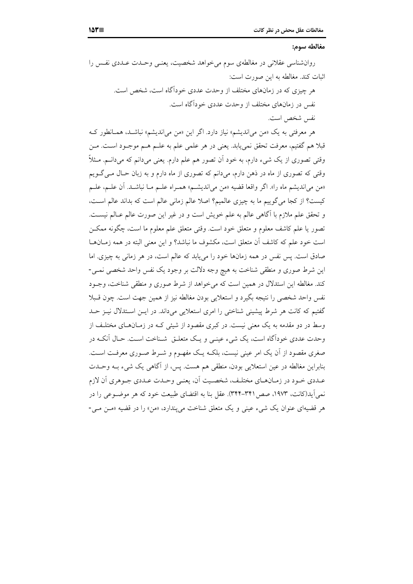#### مغالطه سوم:

روانشناسی عقلانی در مغالطهی سوم می خواهد شخصیت، یعنبی وحـدت عـددی نفـس را اثبات كند. مغالطه به اين صورت است:

> هر چیزی که در زمانهای مختلف از وحدت عددی خودآگاه است، شخص است. نفس در زمانهای مختلف از وحدت عددی خودآگاه است. نفس شخص است.

هر معرفتی به یک «من می|ندیشم» نیاز دارد. اگر این «من می|ندیشم» نباشـد، همـانطور کـه قبلاً هم گفتیم، معرفت تحقق نمی،یابد. یعنی در هر علمی علم به علــم هــم موجــود اســت. مــن وقتی تصوری از یک شیء دارم، به خود اَن تصور هم علم دارم. یعنی میدانم که میدانــم. مــثلاً وقتی که تصوری از ماه در ذهن دارم، میدانم که تصوری از ماه دارم و به زبان حـال مــیگــویـم «من مي انديشم ماه را». اگر واقعا قضيه «من مي انديشـم» همـراه علـم مـا نباشـد. آن علـم، علـم كيست؟ از كجا مي گوييم ما به چيزي عالميم؟ اصلا عالم زماني عالم است كه بداند عالم است، و تحقق علم ملازم با آگاهی عالم به علم خویش است و در غیر این صورت عالم عــالم نیســت. تصور يا علم كاشف معلوم و متعلق خود است. وقتى متعلق علم معلوم ما است، چگونه ممكــن است خود علم كه كاشف آن متعلق است، مكشوف ما نباشد؟ و اين معنى البته در همه زمـانهــا صادق است. پس نفس در همه زمانها خود را می پابد که عالم است، در هر زمانی به چیزی. اما این شرط صوری و منطقی شناخت به هیچ وجه دلالت بر وجود یک نفس واحد شخصی نمبی-کند. مغالطه این استدلال در همین است که می خواهد از شرط صوری و منطقی شناخت، وجـود نفس واحد شخصی را نتیجه بگیرد و استعلایی بودن مغالطه نیز از همین جهت است. چون قـبلا گفتیم که کانت هر شرط پیشینی شناختی را امری استعلایی میداند. در ایـن اسـتدلال نیـز حـد وسط در دو مقدمه به یک معنی نیست. در کبری مقصود از شیئی کـه در زمـانهـای مختلـف از وحدت عددی خودآگاه است، یک شیء عینبی و یک متعلـق شـناخت اسـت. حـال آنکــه در صغری مقصود از آن یک امر عینی نیست، بلکـه یـک مفهـوم و شـرط صـوری معرفـت اسـت. بنابراین مغالطه در عین استعلایی بودن، منطقی هم هست. پس، از آگاهی یک شیء بـه وحــدت عـددي خـود در زمـانهـاي مختلـف، شخصـيت اَن، يعنـي وحـدت عـددي جـوهري اَن لازم نمی آید(کانت، ۱۹۷۳، صص ۳۴۱–۳۴۴). عقل بنا به اقتضای طبیعت خود که هر موضوعی را در هر قضیهای عنوان یک شیء عینی و یک متعلق شناخت می پندارد، «من» را در قضیه «مین می -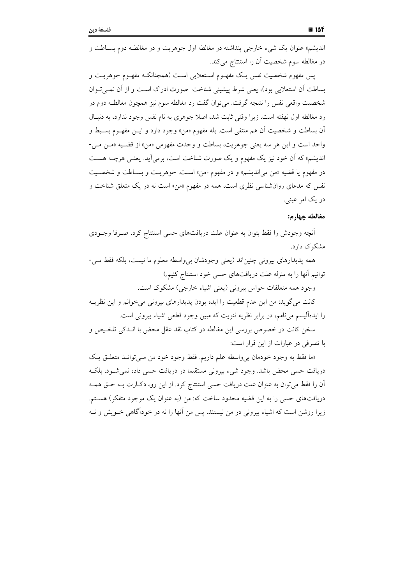اندیشم» عنوان یک شیء خارجی پنداشته در مغالطه اول جوهریت و در مغالطـه دوم بســاطت و در مغالطه سوم شخصیت آن را استنتاج می کند.

يس مفهوم شخصيت نفس يـك مفهــوم اسـتعلايي اسـت (همچنانكــه مفهــوم جوهريــت و بساطت آن استعلایی بود)، یعنی شرط پیشینی شناخت صورت ادراک است و از آن نمـیتوان شخصیت واقعی نفس را نتیجه گرفت. میتوان گفت رد مغالطه سوم نیز همچون مغالطـه دوم در رد مغالطه اول نهفته است. زيرا وقتي ثابت شد، اصلا جوهري به نام نفس وجود ندارد، به دنبال آن بساطت و شخصیت آن هم منتفی است. بله مفهوم «من» وجود دارد و ایــن مفهــوم بســیط و واحد است و اين هر سه يعني جوهريت، بساطت و وحدت مفهومي «من» از قضـيه «مـن مـي-اندیشم» که آن خود نیز یک مفهوم و یک صورت شناخت است، برمیآید. یعنـی هرچـه هسـت در مفهوم يا قضيه «من مي انديشم» و در مفهوم «من» است. جوهريت و بسـاطت و شخصـيت نفس که مدعای روانشناسی نظری است، همه در مفهوم «من» است نه در یک متعلق شناخت و در یک امر عینی.

### مغالطه حها, م:

أنچه وجودش را فقط بتوان به عنوان علت دریافتهای حسی استنتاج کرد، صـرفا وجـودی مشکوک دارد.

همه پدیدارهای بیرونی چنین|ند (یعنی وجودشان بی واسطه معلوم ما نیست، بلکه فقط مـی-توانيم آنها را به منزله علت دريافتهاي حسى خود استنتاج كنيم.) وجود همه متعلقات حواس بيروني (يعني اشياء خارجي) مشكوك است.

كانت مي گويد: من اين عدم قطعيت را ايده بودن پديدارهاى بيرونى مى خوانم و اين نظريـه را ایدهآلیسم می نامم، در برابر نظریه ثنویت که مبین وجود قطعی اشیاء بیرونی است.

سخن كانت در خصوص بررسی این مغالطه در كتاب نقد عقل محض با انـدكی تلخـیص و با تصرفی در عبارات از این قرار است:

«ما فقط به وجود خودمان ب<sub>ي ت</sub>واسطه علم داريم. فقط وجود خود من مبي توانـد متعلـق يـک دریافت حسی محض باشد. وجود شیء بیرونی مستقیما در دریافت حسی داده نمیشود، بلکه آن را فقط می توان به عنوان علت دریافت حسی استنتاج کرد. از این رو، دکـارت بــه حــق همــه دریافتهای حسی را به این قضیه محدود ساخت که: من (به عنوان یک موجود متفکر) هستم. زیرا روشن است که اشیاء بیرونی در من نیستند، پس من آنها را نه در خودآگاهی خــویش و نــه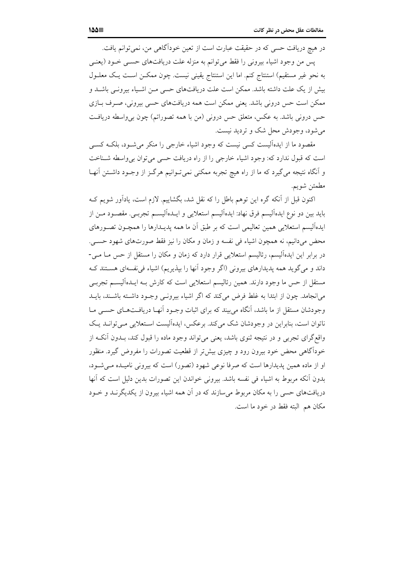در هیچ دریافت حسی که در حقیقت عبارت است از تعین خوداًگاهی من، نمی توانم یافت. يس من وجود اشياء بيروني را فقط مي توانم به منزله علت دريافتهاي حسبي خــود (يعنــي به نحو غیر مستقیم) استنتاج کنم. اما این استنتاج یقینی نیست. چون ممکـن اسـت یـک معلـول بیش از یک علت داشته باشد. ممکن است علت دریافتهای حسی مـن اشـیاء بیرونـی باشـد و ممکن است حس درونی باشد. یعنی ممکن است همه دریافتهای حسی بیرونی، صـرف بـازی حس درونی باشد. به عکس، متعلق حس درونی (من با همه تصوراتم) چون بی واسطه دریافت می شود، وجودش محل شک و تردید نیست.

مقصود ما از ایدهآلیست کسی نیست که وجود اشیاء خارجی را منکر میشـود، بلکـه کسـی است که قبول ندارد که: وجود اشیاء خارجی را از راه دریافت حسی می توان بی واسطه شـناخت و آنگاه نتیجه می گیرد که ما از راه هیچ تجربه ممکنی نمی تـوانیم هرگـز از وجـود داشـتن آنهـا مطمئن شويم.

اکنون قبل از آنکه گره این توهم باطل را که نقل شد، بگشاییم. لازم است، یادآور شویم ک بايد بين دو نوع ايدهآليسم فرق نهاد: ايدهآليسم استعلايي و ايــدهآليســم تجربــي. مقصــود مــن از ایدهآلیسم استعلایی همین تعالیمی است که بر طبق آن ما همه یدیـدارها را همچـون تصـورهای محض می دانیم، نه همچون اشیاء فی نفسه و زمان و مکان را نیز فقط صورتهای شهود حسبی. در برابر این ایدهآلیسم، رئالیسم استعلایی قرار دارد که زمان و مکان را مستقل از حس مــا مــی-داند و میگوید همه پدیدارهای بیرونی (اگر وجود آنها را بپذیریم) اشیاء فی نفسهای هستند ک مستقل از حس ما وجود دارند. همین رئالیسم استعلایی است که کارش بـه ایـلـدهآلیســم تجربــی می انجامد. چون از ابتدا به غلط فرض می کند که اگر اشیاء بیرونبی وجـود داشـته باشـند، بایــد وجودشان مستقل از ما باشد، اَنگاه میبیند که برای اثبات وجـود اَنهـا دریافـتهـای حسـی مـا ناتوان است، بنابراین در وجودشان شک میکند. برعکس، ایدهآلیست استعلایی می توانــد یـک واقع گرای تجربی و در نتیجه ثنوی باشد، یعنی می تواند وجود ماده را قبول کند، بـدون اَنکـه از خوداًگاهی محض خود بیرون رود و چیزی بیشتر از قطعیت تصورات را مفروض گیرد. منظور او از ماده همین پدیدارها است که صرفا نوعی شهود (تصور) است که بیرونی نامیـده مـی شـود، بدون أنكه مربوط به اشياء في نفسه باشد. بيروني خواندن اين تصورات بدين دليل است كه أنها دریافتهای حسی را به مکان مربوط می سازند که در آن همه اشیاء بیرون از یکدیگر نــد و خــود مكان هم البته فقط در خود ما است.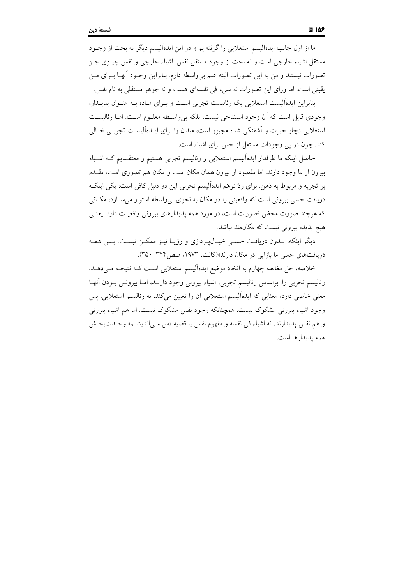ما از اول جانب ایدهآلیسم استعلایی را گرفتهایم و در این ایدهآلیسم دیگر نه بحث از وجـود مستقل اشیاء خارجی است و نه بحث از وجود مستقل نفس اشیاء خارجی و نفس چیــزی جــز تصورات نیستند و من به این تصورات البته علم بی واسطه دارم. بنابراین وجـود آنهــا بــرای مــن يقيني است. اما وراي اين تصورات نه شيء في نفسهاي هست و نه جوهر مستقلي به نام نفس.

بنابراین ایدهآلیست استعلایی یک رئالیست تجربی است و بـرای مـاده بـه عنـوان پدیـدار، وجودی قایل است که آن وجود استنتاجی نیست، بلکه بی واسطه معلـوم اسـت. امـا رئالیسـت استعلایی دچار حیرت و آشفتگی شده مجبور است، میدان را برای ایـدهآلیسـت تجربـی خـالی کند. چون در پی وجودات مستقل از حس برای اشیاء است.

حاصل اینکه ما طرفدار ایدهآلیسم استعلایی و رئالیسم تجربی هستیم و معتقـدیم کـه اشـیاء بیرون از ما وجود دارند. اما مقصود از بیرون همان مکان است و مکان هم تصوری است، مقـدم بر تجربه و مربوط به ذهن. برای ردّ توهّم ایدهآلیسم تجربی این دو دلیل کافی است: یکی اینک دریافت حسی بیرونی است که واقعیتی را در مکان به نحوی بیeاسطه استوار میسازد، مکـانی که هرچند صورت محض تصورات است، در مورد همه پدیدارهای بیرونی واقعیت دارد. یعنـی هیچ پدیده بیرونی نیست که مکان مند نباشد.

دیگر اینکه، بـدون دریافـت حسـی خیـال1پـردازی و رؤیـا نیـز ممکـن نیسـت. پـس همـه دریافتهای حسی ما بازایی در مکان دارند»(کانت، ۱۹۷۳، صص۴۲۴-۳۵۰).

خلاصه، حل مغالطه چهارم به اتخاذ موضع ايدهآليسم استعلايي است كـه نتيجـه مـىدهـد. رئالیسم تجربی را. براساس رئالیسم تجربی، اشیاء بیرونی وجود دارنـد، امــا بیرونــی بــودن آنهــا معنی خاصی دارد، معنایی که ایدهآلیسم استعلایی آن را تعیین میکند، نه رئالیسم استعلایی. پس وجود اشياء بيروني مشكوك نيست. همچنانكه وجود نفس مشكوك نيست. اما هم اشياء بيروني و هم نفس يديدارند، نه اشياء في نفسه و مفهوم نفس يا قضيه «من مـي|نديشـم» وحـدتبخـش همه يديدارها است.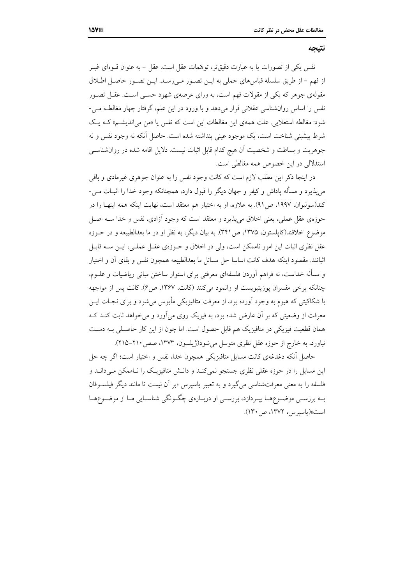#### نتيجه

نفس یکی از تصورات یا به عبارت دقیقتر، توهمات عقل است. عقل – به عنوان قــوهای غیــر از فهم - از طريق سلسله قياسهاي حملي به ايـن تصـور مـيرسـد. ايـن تصـور حاصـل اطـلاق مقولهی جوهر که یکی از مقولات فهم است، به ورای عرصهی شهود حســی اســت. عقــل تصــور نفس را اساس روانشناسی عقلانی قرار میدهد و با ورود در این علم، گرفتار چهار مغالطـه مـی-شود: مغالطه استعلایی. علت همهی این مغالطات این است که نفس یا «من می اندیشم» کـه یـک شرط پیشینی شناخت است، یک موجود عینی پنداشته شده است. حاصل آنکه نه وجود نفس و نه جوهريت و بساطت و شخصيت آن هيچ كدام قابل اثبات نيست. دلايل اقامه شده در روان شناسبي استدلالی در این خصوص همه مغالطی است.

در اینجا ذکر این مطلب لازم است که کانت وجود نفس را به عنوان جوهری غیرمادی و باقی می پذیرد و مسأله پاداش و کیفر و جهان دیگر را قبول دارد، همچنانکه وجود خدا را اثبــات مــی-كند(سوليوان، ١٩٩٧، ص٩١). به علاوه، او به اختيار هم معتقد است، نهايت اينكه همه اينهـا را در حوزهي عقل عملي، يعني اخلاق مي پذيرد و معتقد است كه وجود آزادي، نفس و خدا ســه اصــل موضوع اخلاقند(کایلستون، ۱۳۷۵، ص۳۴۱). به بیان دیگر، به نظر او در ما بعدالطبیعه و در حــوزه عقل نظری اثبات این امور ناممکن است، ولی در اخلاق و حــوزهی عقــل عملــی، ایــن ســه قابــل اثباتند. مقصود اینکه هدف کانت اساسا حل مسائل ما بعدالطبیعه همچون نفس و بقای اَن و اختیار و مسأله خداست، نه فراهم أوردن فلسفهاي معرفتي براي استوار ساختن مباني رياضيات و علــوم، چنانکه برخی مفسران یوزیتیویست او وانمود می کنند (کانت، ۱۳۶۷، ص۶). کانت پس از مواجهه با شکاکیتی که هیوم به وجود اَورده بود، از معرفت متافیزیکی مأیوس می شود و برای نجـات ایــن معرفت از وضعیتی که بر آن عارض شده بود، به فیزیک روی می آورد و می خواهد ثابت کنــد کــه همان قطعیت فیزیکی در متافیزیک هم قابل حصول است. اما چون از این کار حاصـلی بـه دسـت نیاورد، به خارج از حوزه عقل نظری متوسل میشود(ژیلسون، ۱۳۷۳، صص۲۱۰-۲۱۵).

حاصل أنكه دغدغهي كانت مسايل متافيزيكي همچون خدا، نفس و اختيار است؛ اگر چه حل این مسایل را در حوزه عقلی نظری جستجو نمی کنـد و دانـش متافیزیـک را نـاممکن مـیدانـد و فلسفه را به معنی معرفتشناسی میگیرد و به تعبیر یاسپرس «بر آن نیست تا مانند دیگر فیلسـوفان بـه بررســي موضــوعهــا بپــردازد، بررســي او دربــارهي چگــونگي شناســايي مــا از موضــوعهــا است»(یاسیرس، ۱۳۷۲، ص۱۳۰).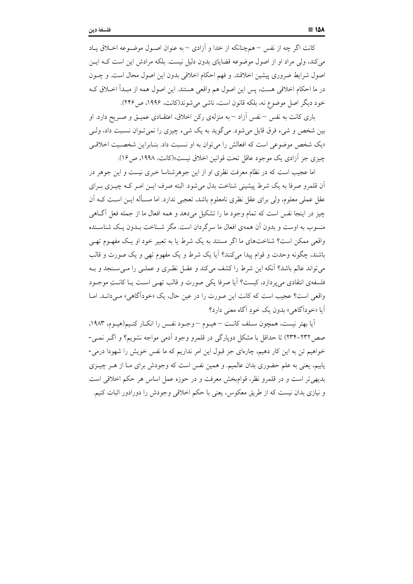كانت اگر چه از نفس – همچنانكه از خدا و آزادي – به عنوان اصـول موضـوعه اخــلاق پــاد می کند، ولی مراد او از اصول موضوعه قضایای بدون دلیل نیست. بلکه مرادش این است کـه ایــن اصول شرايط ضروري پيشين اخلاقند. و فهم احكام اخلاقي بدون اين اصول محال است. و چــون در ما احکام اخلاقی هست، پس این اصول هم واقعی هستند. این اصول همه از مبـدأ اخــلاق کــه خود ديگر اصل موضوع نه، بلكه قانون است، ناشي مي شوند(كانت، ۱۹۹۶، ص ۲۴۶).

باری کانت به نفس – نفس آزاد – به منزلهی رکن اخلاق، اعتقـادی عمیـق و صـریح دارد. او بین شخص و شیء فرق قایل میشود. میگوید به یک شیء چیزی را نمی تـوان نسـبت داد، ولـی «یک شخص موضوعی است که افعالش را می توان به او نسبت داد. بنـابراین شخصـیت اخلاقـی چیزی جز آزادی یک موجود عاقل تحت قوانین اخلاق نیست»(کانت، ۱۹۹۸، ص۱۶).

اما عجیب است که در نظام معرفت نظری او از این جوهرشناسا خبری نیست و این جوهر در اّن قلمرو صرفا به یک شرط پیشینی شناخت بدل می شود. البته صرف ایـن امـر کـه چیـزی بـرای عقل عملی معلوم، ولی برای عقل نظری نامعلوم باشد، تعجبی ندارد. اما مســأله ایــن اســت کــه اَن چیز در اینجا نفس است که تمام وجود ما را تشکیل میدهد و همه افعال ما از جمله فعل آگـاهی منسوب به اوست و بدون اّن همهى افعال ما سرگردان است. مگر شـناخت بــدون يــک شناســنده واقعی ممکن است؟ شناختهای ما اگر مستند به یک شرط یا به تعییر خود او یک مفهـوم تهـی باشند، چگونه وحدت و قوام پیدا میکنند؟ آیا یک شرط و یک مفهوم تهی و یک صورت و قالب می تواند عالم باشد؟ آنکه این شرط را کشف می کند و عقـل نظـری و عملـی را مـی سـنجد و بـه فلسفهى انتقادى مى پردازد، كيست؟ آيا صرفا يكي صورت و قالب تهـي اسـت يـا كانـتِ موجـود واقعی است؟ عجیب است که کانت این صورت را در عین حال، یک «خودآگاهی» می دانـد. امـا اَبا «خوداگاهي» بدون يک خودِ اَگاه معنى دارد؟

آيا بهتر نيست، همچون سـلف كانـت –هيـوم –وجـود نفـس را انكـار كنـيم(هيـوم، ١٩٨٣، صص٢٣٢-٢٣٢) تا حداقل با مشكل دويارگي در قلمرو وجود أدمي مواجه نشويم؟ و اگـر نمـي-خواهیم تن به این کار دهیم، چارهای جز قبول این امر نداریم که ما نفس خویش را شهودا درمی-یابیم، یعنی به علم حضوری بدان عالمیم. و همین نفس است که وجودش برای مـا از هـر چیــزی بدیهیتر است و در قلمرو نظر، قوامبخش معرفت و در حوزه عمل اساس هر حکم اخلاقی است و نیازی بدان نیست که از طریق معکوس، یعنی با حکم اخلاقی وجودش را دورادور اثبات کنیم.